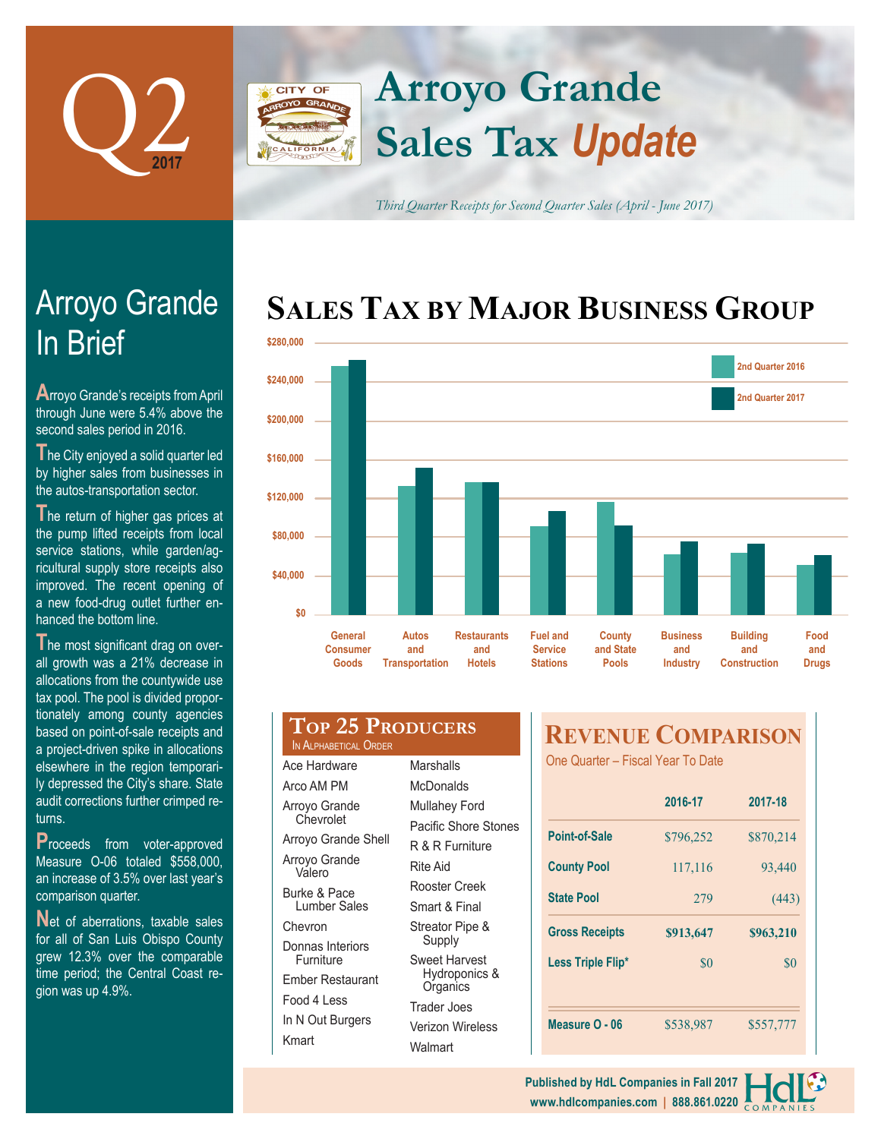

### **Arroyo Grande CITY OF Sales Tax** *Update*

*Third Quarter Receipts for Second Quarter Sales (April - June 2017)*

## **SALES TAX BY MAJOR BUSINESS GROUP**



# In Brief Arroyo Grande

**A**rroyo Grande's receipts from April through June were 5.4% above the second sales period in 2016.

**T**he City enjoyed a solid quarter led by higher sales from businesses in the autos-transportation sector.

The return of higher gas prices at the pump lifted receipts from local service stations, while garden/agricultural supply store receipts also improved. The recent opening of a new food-drug outlet further enhanced the bottom line.

The most significant drag on overall growth was a 21% decrease in allocations from the countywide use tax pool. The pool is divided proportionately among county agencies based on point-of-sale receipts and a project-driven spike in allocations elsewhere in the region temporarily depressed the City's share. State audit corrections further crimped returns.

**P**roceeds from voter-approved Measure O-06 totaled \$558,000, an increase of 3.5% over last year's comparison quarter.

Net of aberrations, taxable sales for all of San Luis Obispo County grew 12.3% over the comparable time period; the Central Coast region was up 4.9%.

|                       | <b>TOP 25 PRODUCERS</b> |
|-----------------------|-------------------------|
| IN ALPHABETICAL ORDER |                         |

| Ace Hardware               | Marshalls                                                                             |  |  |
|----------------------------|---------------------------------------------------------------------------------------|--|--|
| Arco AM PM                 | McDonalds                                                                             |  |  |
| Arroyo Grande<br>Chevrolet | Mullahey Ford<br>Pacific Shore Stones<br>R & R Furniture<br>Rite Aid<br>Rooster Creek |  |  |
| Arroyo Grande Shell        |                                                                                       |  |  |
| Arroyo Grande<br>Valero    |                                                                                       |  |  |
| <b>Burke &amp; Pace</b>    |                                                                                       |  |  |
| Lumber Sales               | Smart & Final                                                                         |  |  |
| Chevron                    | Streator Pipe &<br>Supply                                                             |  |  |
| Donnas Interiors           |                                                                                       |  |  |
| Furniture                  | Sweet Harvest<br>Hydroponics &<br>Organics<br>Trader Joes                             |  |  |
| Ember Restaurant           |                                                                                       |  |  |
| Food 4 Less                |                                                                                       |  |  |
| In N Out Burgers           | Verizon Wireless                                                                      |  |  |
| Kmart                      | Walmart                                                                               |  |  |

### **REVENUE COMPARISON**

One Quarter – Fiscal Year To Date

|                       | 2016-17   | 2017-18   |  |
|-----------------------|-----------|-----------|--|
| <b>Point-of-Sale</b>  | \$796,252 | \$870,214 |  |
| <b>County Pool</b>    | 117,116   | 93,440    |  |
| <b>State Pool</b>     | 279       | (443)     |  |
| <b>Gross Receipts</b> | \$913,647 | \$963,210 |  |
| Less Triple Flip*     | \$0       | \$0       |  |
|                       |           |           |  |
|                       |           |           |  |